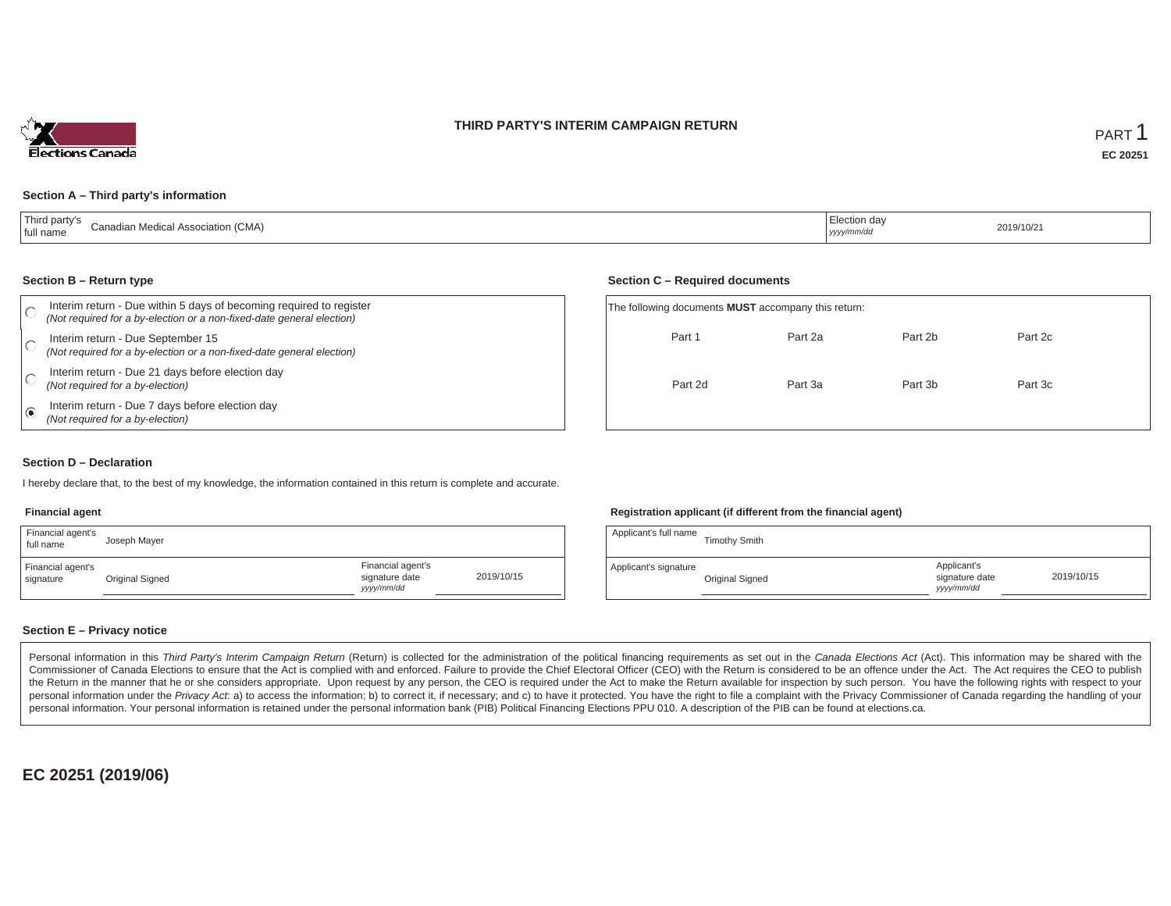### **THIRD PARTY'S INTERIM CAMPAIGN RETURN**



#### **Section A – Third party's information**

| Third party's<br>(CMA)<br>adian Medical Assoc<br>' full name | ection dav<br>2019/10/2<br>.<br>yyyy/mm/da |  |
|--------------------------------------------------------------|--------------------------------------------|--|
|--------------------------------------------------------------|--------------------------------------------|--|

#### **Section B – Return type**

| Interim return - Due within 5 days of becoming required to register<br>(Not required for a by-election or a non-fixed-date general election) | The following documents <b>MUST</b> accompany this return: |         |         |         |  |
|----------------------------------------------------------------------------------------------------------------------------------------------|------------------------------------------------------------|---------|---------|---------|--|
| Interim return - Due September 15<br>(Not required for a by-election or a non-fixed-date general election)                                   | Part 1                                                     | Part 2a | Part 2b | Part 2c |  |
| Interim return - Due 21 days before election day<br>(Not required for a by-election)                                                         | Part 2d                                                    | Part 3a | Part 3b | Part 3c |  |
| Interim return - Due 7 days before election day<br>(Not required for a by-election)                                                          |                                                            |         |         |         |  |

#### **Section D – Declaration**

I hereby declare that, to the best of my knowledge, the information contained in this return is complete and accurate.

### **Financial agent**

| Financial agent's<br>full name | Joseph Mayer    |                                                  |            |
|--------------------------------|-----------------|--------------------------------------------------|------------|
| Financial agent's<br>signature | Original Signed | Financial agent's<br>signature date<br>vyy/mm/dd | 2019/10/15 |

#### **Registration applicant (if different from the financial agent)**

| Applicant's full name | <b>Timothy Smith</b> |                                             |            |
|-----------------------|----------------------|---------------------------------------------|------------|
| Applicant's signature | Original Signed      | Applicant's<br>signature date<br>yyyy/mm/dd | 2019/10/15 |

### **Section E – Privacy notice**

Personal information in this Third Party's Interim Campaign Return (Return) is collected for the administration of the political financing requirements as set out in the Canada Elections Act (Act). This information may be Commissioner of Canada Elections to ensure that the Act is complied with and enforced. Failure to provide the Chief Electoral Officer (CEO) with the Return is considered to be an offence under the Act. The Act requires the the Return in the manner that he or she considers appropriate. Upon request by any person, the CEO is required under the Act to make the Return available for inspection by such person. You have the following rights with re personal information under the Privacy Act. a) to access the information; b) to correct it, if necessary; and c) to have it protected. You have the right to file a complaint with the Privacy Commissioner of Canada regardin personal information. Your personal information is retained under the personal information bank (PIB) Political Financing Elections PPU 010. A description of the PIB can be found at elections.ca.

**EC 20251 (2019/06)**

### **Section C – Required documents**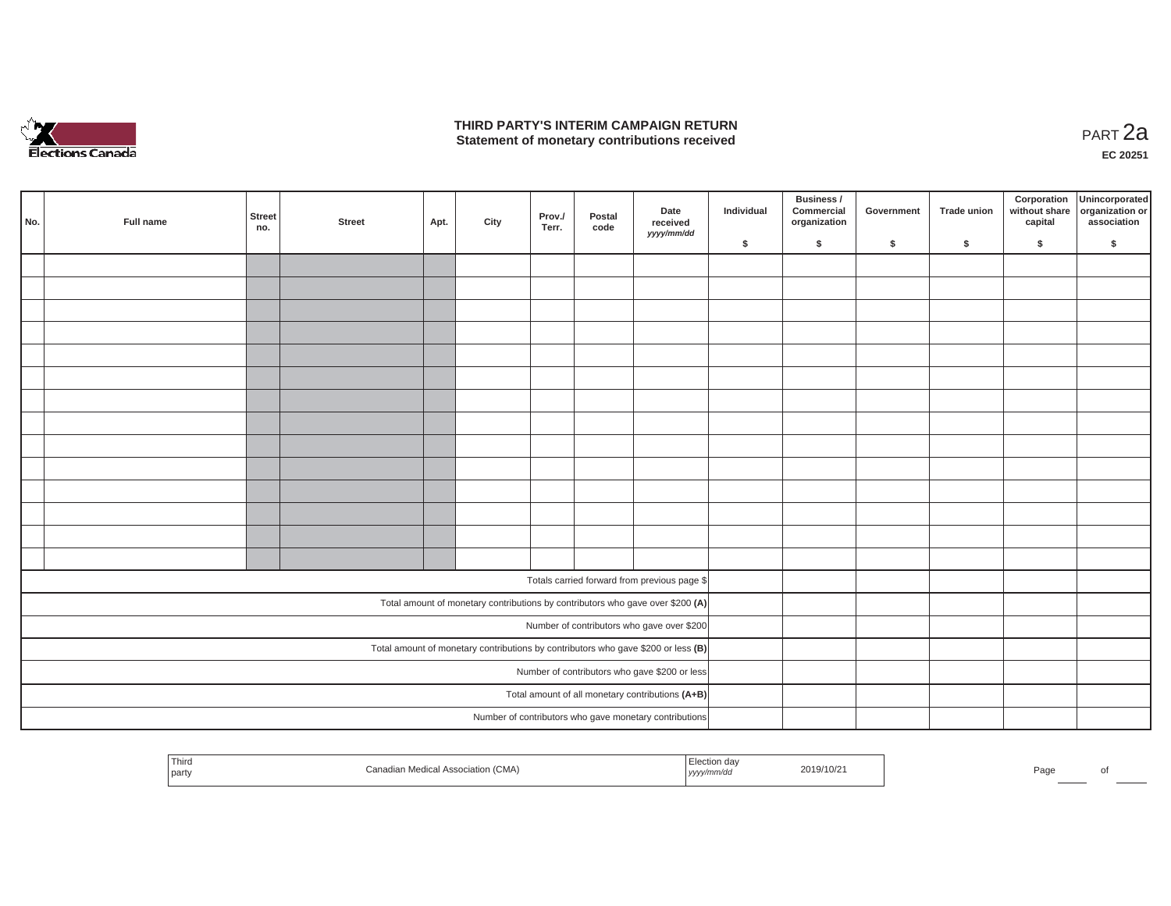

### **THIRD PARTY'S INTERIM CAMPAIGN RETURN THIRD PARTY'S INTERIM CAMPAIGN RETURN<br>Statement of monetary contributions received PART 2a**

**EC 20251**

| No. | Full name | <b>Street</b><br>no. | <b>Street</b> | Apt. | City | Prov./<br>Terr. | Postal<br>code | Date<br>received<br>yyyy/mm/dd                                                    | Individual | Business /<br>Commercial<br>organization | Government | Trade union | Corporation<br>capital | Unincorporated<br>without share organization or<br>association |
|-----|-----------|----------------------|---------------|------|------|-----------------|----------------|-----------------------------------------------------------------------------------|------------|------------------------------------------|------------|-------------|------------------------|----------------------------------------------------------------|
|     |           |                      |               |      |      |                 |                |                                                                                   | \$         | \$                                       | \$         | $\sqrt{2}$  | \$                     | \$                                                             |
|     |           |                      |               |      |      |                 |                |                                                                                   |            |                                          |            |             |                        |                                                                |
|     |           |                      |               |      |      |                 |                |                                                                                   |            |                                          |            |             |                        |                                                                |
|     |           |                      |               |      |      |                 |                |                                                                                   |            |                                          |            |             |                        |                                                                |
|     |           |                      |               |      |      |                 |                |                                                                                   |            |                                          |            |             |                        |                                                                |
|     |           |                      |               |      |      |                 |                |                                                                                   |            |                                          |            |             |                        |                                                                |
|     |           |                      |               |      |      |                 |                |                                                                                   |            |                                          |            |             |                        |                                                                |
|     |           |                      |               |      |      |                 |                |                                                                                   |            |                                          |            |             |                        |                                                                |
|     |           |                      |               |      |      |                 |                |                                                                                   |            |                                          |            |             |                        |                                                                |
|     |           |                      |               |      |      |                 |                |                                                                                   |            |                                          |            |             |                        |                                                                |
|     |           |                      |               |      |      |                 |                |                                                                                   |            |                                          |            |             |                        |                                                                |
|     |           |                      |               |      |      |                 |                |                                                                                   |            |                                          |            |             |                        |                                                                |
|     |           |                      |               |      |      |                 |                |                                                                                   |            |                                          |            |             |                        |                                                                |
|     |           |                      |               |      |      |                 |                |                                                                                   |            |                                          |            |             |                        |                                                                |
|     |           |                      |               |      |      |                 |                |                                                                                   |            |                                          |            |             |                        |                                                                |
|     |           |                      |               |      |      |                 |                |                                                                                   |            |                                          |            |             |                        |                                                                |
|     |           |                      |               |      |      |                 |                | Totals carried forward from previous page \$                                      |            |                                          |            |             |                        |                                                                |
|     |           |                      |               |      |      |                 |                | Total amount of monetary contributions by contributors who gave over \$200 (A)    |            |                                          |            |             |                        |                                                                |
|     |           |                      |               |      |      |                 |                | Number of contributors who gave over \$200                                        |            |                                          |            |             |                        |                                                                |
|     |           |                      |               |      |      |                 |                | Total amount of monetary contributions by contributors who gave \$200 or less (B) |            |                                          |            |             |                        |                                                                |
|     |           |                      |               |      |      |                 |                | Number of contributors who gave \$200 or less                                     |            |                                          |            |             |                        |                                                                |
|     |           |                      |               |      |      |                 |                | Total amount of all monetary contributions (A+B)                                  |            |                                          |            |             |                        |                                                                |
|     |           |                      |               |      |      |                 |                | Number of contributors who gave monetary contributions                            |            |                                          |            |             |                        |                                                                |
|     |           |                      |               |      |      |                 |                |                                                                                   |            |                                          |            |             |                        |                                                                |

| Third<br>tion day<br>(CMA<br>2019/10/21<br>яног<br>' partv<br>  <i>yyyy</i> | Pag |  |
|-----------------------------------------------------------------------------|-----|--|
|-----------------------------------------------------------------------------|-----|--|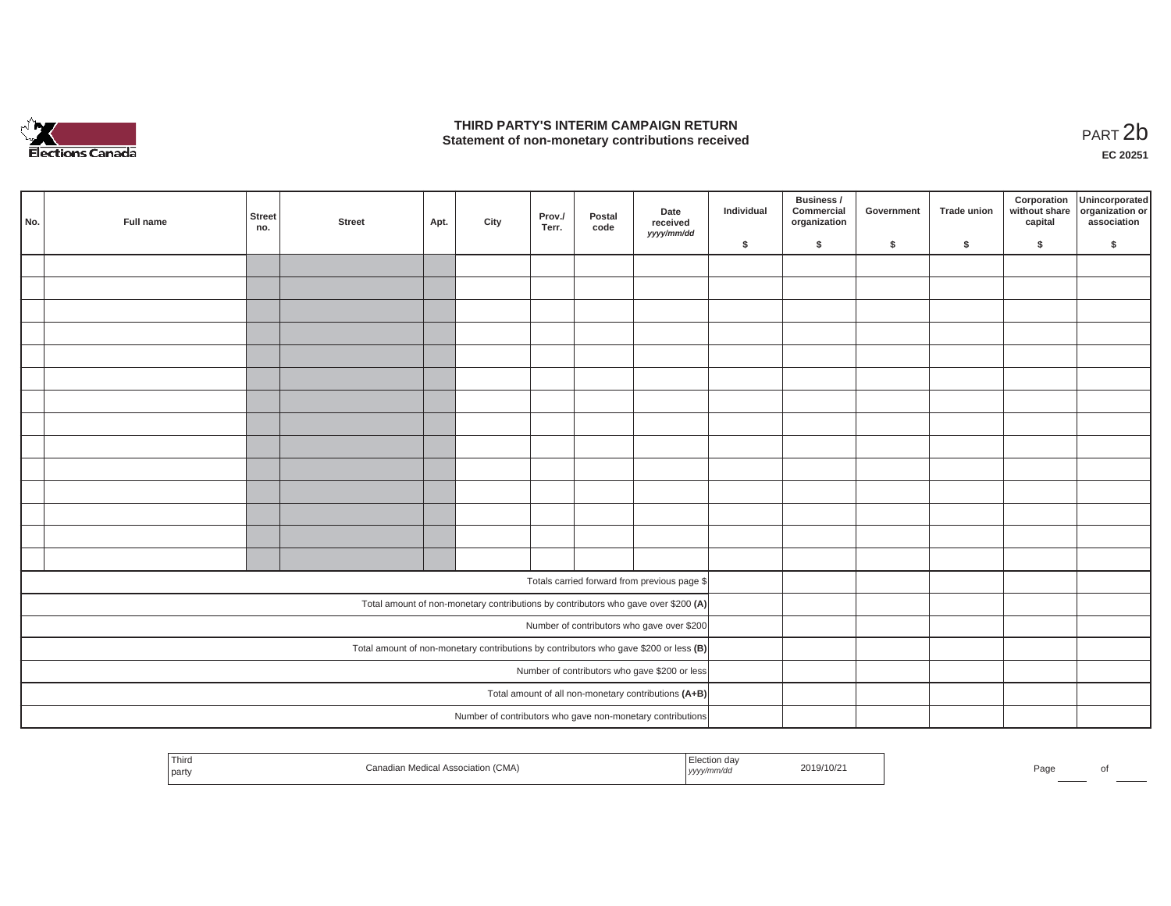

### **THIRD PARTY'S INTERIM CAMPAIGN RETURN**  THIRD PARTY'S INTERIM CAMPAIGN RETURN<br>Statement of non-monetary contributions received<br>**PART 2**b

**EC 20251**

| No. | Full name | Street<br>no. | <b>Street</b> | Apt. | City | Prov./<br>Terr. | Postal<br>code | Date<br>received<br>yyyy/mm/dd                                                          | Individual | Business /<br>Commercial<br>organization | Government | Trade union  | Corporation<br>without share<br>capital | Unincorporated<br>organization or<br>association |
|-----|-----------|---------------|---------------|------|------|-----------------|----------------|-----------------------------------------------------------------------------------------|------------|------------------------------------------|------------|--------------|-----------------------------------------|--------------------------------------------------|
|     |           |               |               |      |      |                 |                |                                                                                         | \$         | $\mathsf{s}$                             | \$         | $\mathsf{s}$ | \$                                      | \$                                               |
|     |           |               |               |      |      |                 |                |                                                                                         |            |                                          |            |              |                                         |                                                  |
|     |           |               |               |      |      |                 |                |                                                                                         |            |                                          |            |              |                                         |                                                  |
|     |           |               |               |      |      |                 |                |                                                                                         |            |                                          |            |              |                                         |                                                  |
|     |           |               |               |      |      |                 |                |                                                                                         |            |                                          |            |              |                                         |                                                  |
|     |           |               |               |      |      |                 |                |                                                                                         |            |                                          |            |              |                                         |                                                  |
|     |           |               |               |      |      |                 |                |                                                                                         |            |                                          |            |              |                                         |                                                  |
|     |           |               |               |      |      |                 |                |                                                                                         |            |                                          |            |              |                                         |                                                  |
|     |           |               |               |      |      |                 |                |                                                                                         |            |                                          |            |              |                                         |                                                  |
|     |           |               |               |      |      |                 |                |                                                                                         |            |                                          |            |              |                                         |                                                  |
|     |           |               |               |      |      |                 |                |                                                                                         |            |                                          |            |              |                                         |                                                  |
|     |           |               |               |      |      |                 |                |                                                                                         |            |                                          |            |              |                                         |                                                  |
|     |           |               |               |      |      |                 |                |                                                                                         |            |                                          |            |              |                                         |                                                  |
|     |           |               |               |      |      |                 |                |                                                                                         |            |                                          |            |              |                                         |                                                  |
|     |           |               |               |      |      |                 |                |                                                                                         |            |                                          |            |              |                                         |                                                  |
|     |           |               |               |      |      |                 |                |                                                                                         |            |                                          |            |              |                                         |                                                  |
|     |           |               |               |      |      |                 |                | Totals carried forward from previous page \$                                            |            |                                          |            |              |                                         |                                                  |
|     |           |               |               |      |      |                 |                | Total amount of non-monetary contributions by contributors who gave over \$200 (A)      |            |                                          |            |              |                                         |                                                  |
|     |           |               |               |      |      |                 |                | Number of contributors who gave over \$200                                              |            |                                          |            |              |                                         |                                                  |
|     |           |               |               |      |      |                 |                | Total amount of non-monetary contributions by contributors who gave \$200 or less $(B)$ |            |                                          |            |              |                                         |                                                  |
|     |           |               |               |      |      |                 |                | Number of contributors who gave \$200 or less                                           |            |                                          |            |              |                                         |                                                  |
|     |           |               |               |      |      |                 |                | Total amount of all non-monetary contributions (A+B)                                    |            |                                          |            |              |                                         |                                                  |
|     |           |               |               |      |      |                 |                | Number of contributors who gave non-monetary contributions                              |            |                                          |            |              |                                         |                                                  |

|  | Third<br>party | (OMAN)<br>wiedical Association (CMA) | Election day<br>yyyy/mm/aa | 2019/10/21 |  | Page |  |
|--|----------------|--------------------------------------|----------------------------|------------|--|------|--|
|--|----------------|--------------------------------------|----------------------------|------------|--|------|--|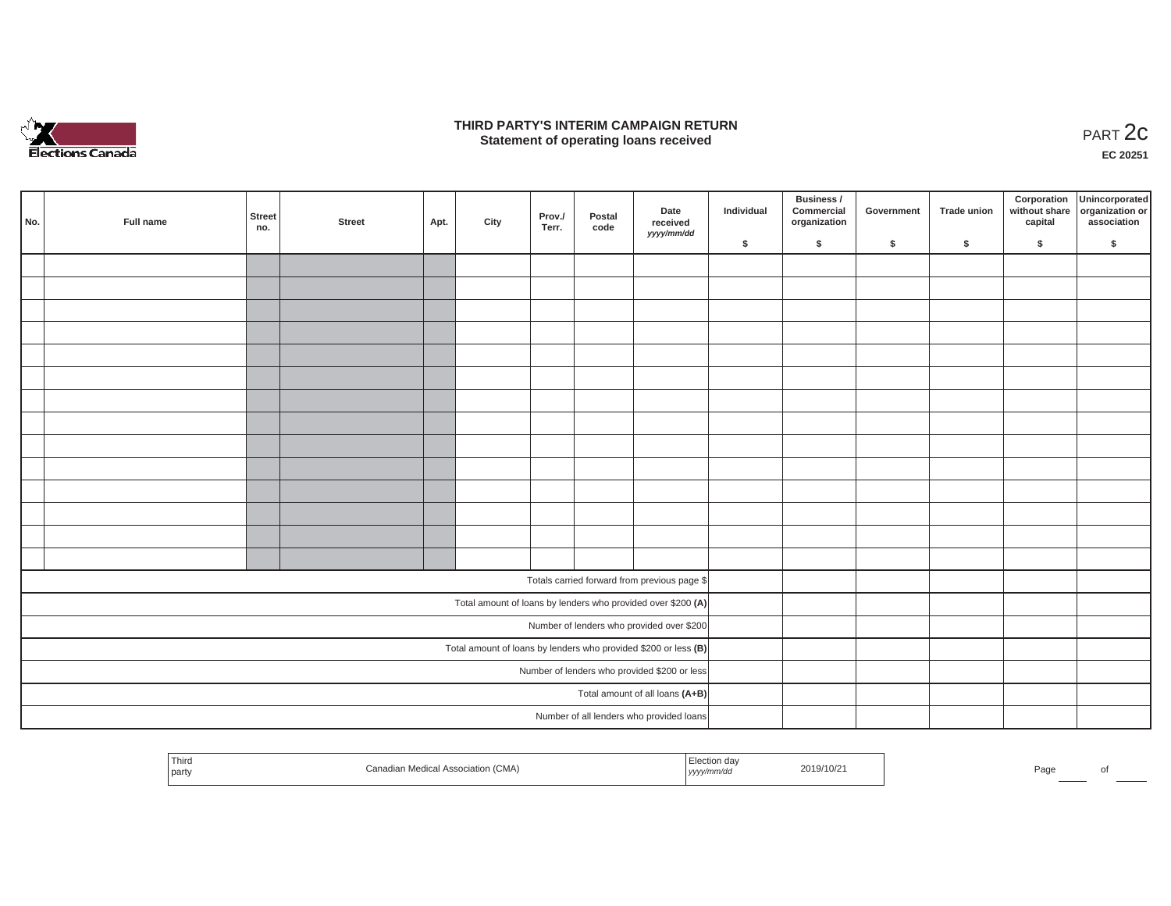

### **THIRD PARTY'S INTERIM CAMPAIGN RETURN**  RD PARTY'S INTERIM CAMPAIGN RETURN<br>Statement of operating loans received **PART 2c**

**EC 20251**

|     |           |               |        |      |      |                 |                |                                                                 |            | Business /                 |            |             |         | Corporation Unincorporated<br>without share organization or |
|-----|-----------|---------------|--------|------|------|-----------------|----------------|-----------------------------------------------------------------|------------|----------------------------|------------|-------------|---------|-------------------------------------------------------------|
| No. | Full name | Street<br>no. | Street | Apt. | City | Prov./<br>Terr. | Postal<br>code | Date<br>received                                                | Individual | Commercial<br>organization | Government | Trade union | capital | association                                                 |
|     |           |               |        |      |      |                 |                | yyyy/mm/dd                                                      | \$         | $\sqrt{2}$                 | \$         | $\sqrt{2}$  | \$      | \$                                                          |
|     |           |               |        |      |      |                 |                |                                                                 |            |                            |            |             |         |                                                             |
|     |           |               |        |      |      |                 |                |                                                                 |            |                            |            |             |         |                                                             |
|     |           |               |        |      |      |                 |                |                                                                 |            |                            |            |             |         |                                                             |
|     |           |               |        |      |      |                 |                |                                                                 |            |                            |            |             |         |                                                             |
|     |           |               |        |      |      |                 |                |                                                                 |            |                            |            |             |         |                                                             |
|     |           |               |        |      |      |                 |                |                                                                 |            |                            |            |             |         |                                                             |
|     |           |               |        |      |      |                 |                |                                                                 |            |                            |            |             |         |                                                             |
|     |           |               |        |      |      |                 |                |                                                                 |            |                            |            |             |         |                                                             |
|     |           |               |        |      |      |                 |                |                                                                 |            |                            |            |             |         |                                                             |
|     |           |               |        |      |      |                 |                |                                                                 |            |                            |            |             |         |                                                             |
|     |           |               |        |      |      |                 |                |                                                                 |            |                            |            |             |         |                                                             |
|     |           |               |        |      |      |                 |                |                                                                 |            |                            |            |             |         |                                                             |
|     |           |               |        |      |      |                 |                |                                                                 |            |                            |            |             |         |                                                             |
|     |           |               |        |      |      |                 |                |                                                                 |            |                            |            |             |         |                                                             |
|     |           |               |        |      |      |                 |                | Totals carried forward from previous page \$                    |            |                            |            |             |         |                                                             |
|     |           |               |        |      |      |                 |                | Total amount of loans by lenders who provided over \$200 (A)    |            |                            |            |             |         |                                                             |
|     |           |               |        |      |      |                 |                | Number of lenders who provided over \$200                       |            |                            |            |             |         |                                                             |
|     |           |               |        |      |      |                 |                | Total amount of loans by lenders who provided \$200 or less (B) |            |                            |            |             |         |                                                             |
|     |           |               |        |      |      |                 |                | Number of lenders who provided \$200 or less                    |            |                            |            |             |         |                                                             |
|     |           |               |        |      |      |                 |                | Total amount of all loans (A+B)                                 |            |                            |            |             |         |                                                             |
|     |           |               |        |      |      |                 |                | Number of all lenders who provided loans                        |            |                            |            |             |         |                                                             |

| Third<br>the control of the control of<br>party | Medical Association (CMA)<br>wanaula | <sup>—</sup> '≏ <u>etion</u> dav<br>, yyyy/mm/aa | 2019/10/21 | Page | ΩТ |
|-------------------------------------------------|--------------------------------------|--------------------------------------------------|------------|------|----|
|                                                 |                                      |                                                  |            |      |    |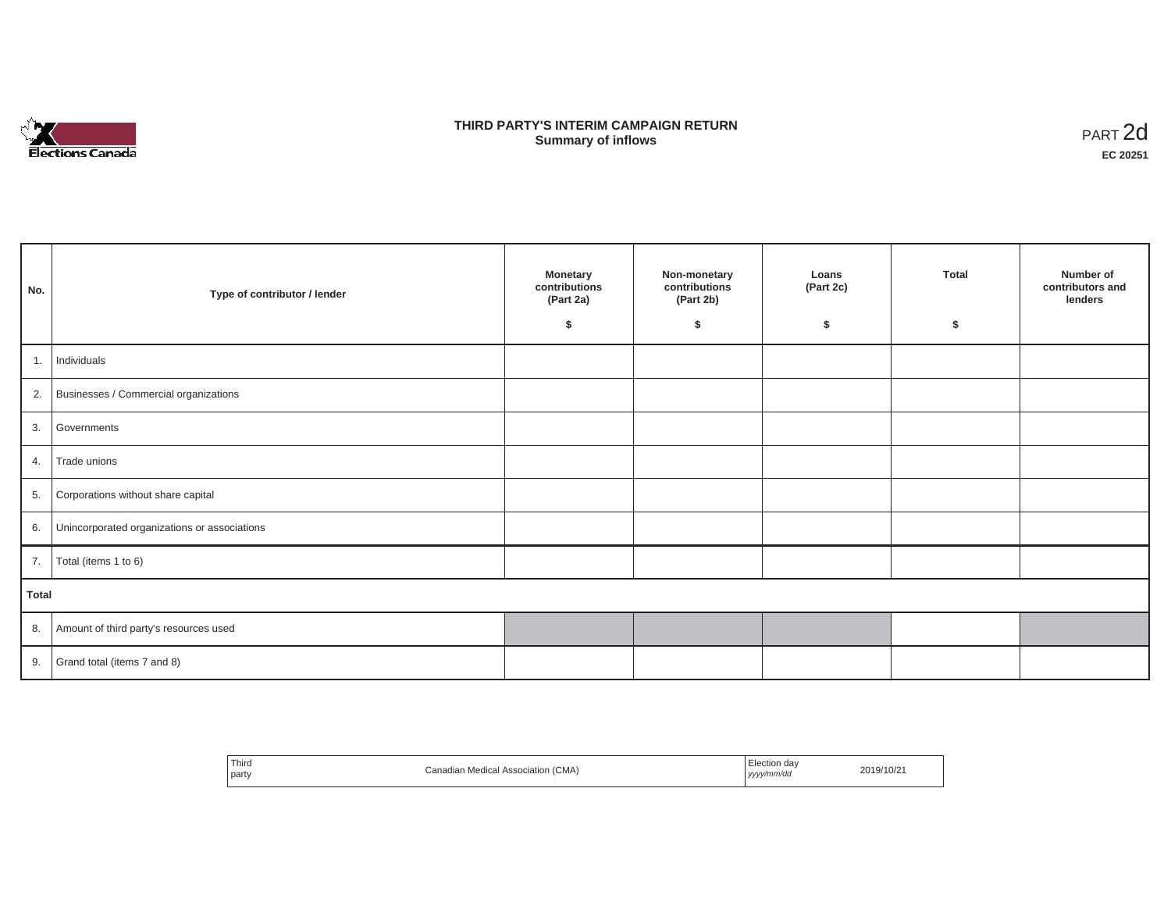

## **THIRD PARTY'S INTERIM CAMPAIGN RETURN SUMMARY STATE SUMMARY OF A SUMMARY OF A SUMMARY OF A SUMMARY OF A SUMMARY OF A SUMMARY OF A SUMMARY OF A SUMMA**<br> **Summary of inflows**

| No.   | Type of contributor / lender                    | <b>Monetary</b><br>contributions<br>(Part 2a)<br>s. | Non-monetary<br>contributions<br>(Part 2b)<br>\$ | Loans<br>(Part 2c)<br>\$ | <b>Total</b><br>Ŝ. | Number of<br>contributors and<br>lenders |
|-------|-------------------------------------------------|-----------------------------------------------------|--------------------------------------------------|--------------------------|--------------------|------------------------------------------|
| 1.    | Individuals                                     |                                                     |                                                  |                          |                    |                                          |
|       | 2. Businesses / Commercial organizations        |                                                     |                                                  |                          |                    |                                          |
|       | 3. Governments                                  |                                                     |                                                  |                          |                    |                                          |
| 4.    | Trade unions                                    |                                                     |                                                  |                          |                    |                                          |
| 5.    | Corporations without share capital              |                                                     |                                                  |                          |                    |                                          |
|       | 6. Unincorporated organizations or associations |                                                     |                                                  |                          |                    |                                          |
| 7.    | Total (items 1 to 6)                            |                                                     |                                                  |                          |                    |                                          |
| Total |                                                 |                                                     |                                                  |                          |                    |                                          |
|       | 8. Amount of third party's resources used       |                                                     |                                                  |                          |                    |                                          |
|       | 9. Grand total (items $7$ and $8$ )             |                                                     |                                                  |                          |                    |                                          |

| Third<br>Election day<br>2019/10/21<br>Canadian Medical Association (CMA)<br>yyyy/mm/dd<br>party |
|--------------------------------------------------------------------------------------------------|
|--------------------------------------------------------------------------------------------------|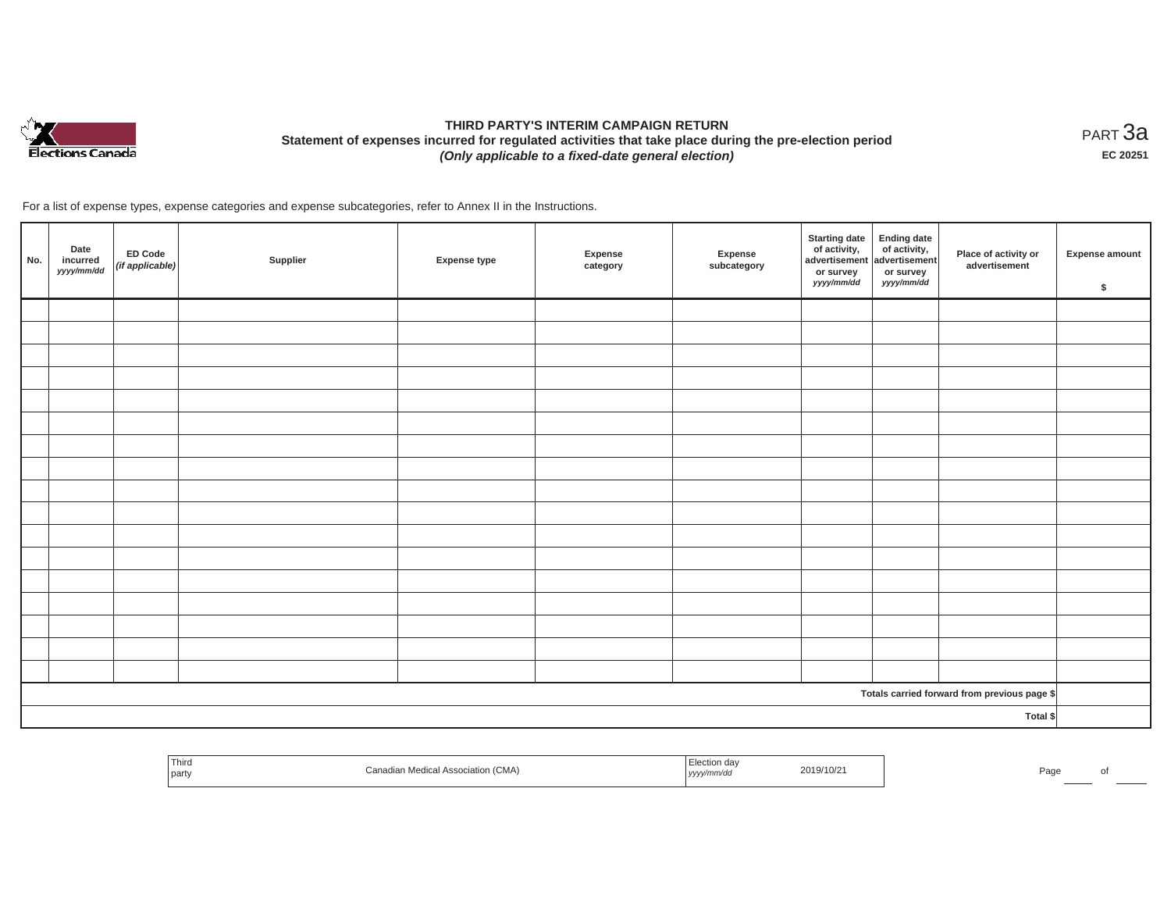

# **THIRD PARTY'S INTERIM CAMPAIGN RETURN Statement of expenses incurred for regulated activities that take place during the pre-election period**  *(Only applicable to a fixed-date general election)*

<code>PART $3$ a</code> **EC 20251**

For a list of expense types, expense categories and expense subcategories, refer to Annex II in the Instructions.

| No. | Date<br>incurred<br>yyyy/mm/dd | ED Code<br>$($ if applicable $)$ | Supplier | Expense type | Expense<br>category | Expense<br>subcategory | Starting date<br>of activity,<br>advertisement advertisement<br>or survey<br>yyyy/mm/dd | or survey<br>yyyy/mm/dd | Place of activity or<br>advertisement        | <b>Expense amount</b><br>\$ |
|-----|--------------------------------|----------------------------------|----------|--------------|---------------------|------------------------|-----------------------------------------------------------------------------------------|-------------------------|----------------------------------------------|-----------------------------|
|     |                                |                                  |          |              |                     |                        |                                                                                         |                         |                                              |                             |
|     |                                |                                  |          |              |                     |                        |                                                                                         |                         |                                              |                             |
|     |                                |                                  |          |              |                     |                        |                                                                                         |                         |                                              |                             |
|     |                                |                                  |          |              |                     |                        |                                                                                         |                         |                                              |                             |
|     |                                |                                  |          |              |                     |                        |                                                                                         |                         |                                              |                             |
|     |                                |                                  |          |              |                     |                        |                                                                                         |                         |                                              |                             |
|     |                                |                                  |          |              |                     |                        |                                                                                         |                         |                                              |                             |
|     |                                |                                  |          |              |                     |                        |                                                                                         |                         |                                              |                             |
|     |                                |                                  |          |              |                     |                        |                                                                                         |                         |                                              |                             |
|     |                                |                                  |          |              |                     |                        |                                                                                         |                         |                                              |                             |
|     |                                |                                  |          |              |                     |                        |                                                                                         |                         |                                              |                             |
|     |                                |                                  |          |              |                     |                        |                                                                                         |                         |                                              |                             |
|     |                                |                                  |          |              |                     |                        |                                                                                         |                         |                                              |                             |
|     |                                |                                  |          |              |                     |                        |                                                                                         |                         |                                              |                             |
|     |                                |                                  |          |              |                     |                        |                                                                                         |                         |                                              |                             |
|     |                                |                                  |          |              |                     |                        |                                                                                         |                         |                                              |                             |
|     |                                |                                  |          |              |                     |                        |                                                                                         |                         |                                              |                             |
|     |                                |                                  |          |              |                     |                        |                                                                                         |                         | Totals carried forward from previous page \$ |                             |
|     |                                |                                  |          |              |                     |                        |                                                                                         |                         | Total \$                                     |                             |

| Third<br>ection dav<br>2019/10/21<br>Medical Association (CMA)<br>Pac<br>part<br>$y$ yyyy $m$ mva $c$ |  |
|-------------------------------------------------------------------------------------------------------|--|
|-------------------------------------------------------------------------------------------------------|--|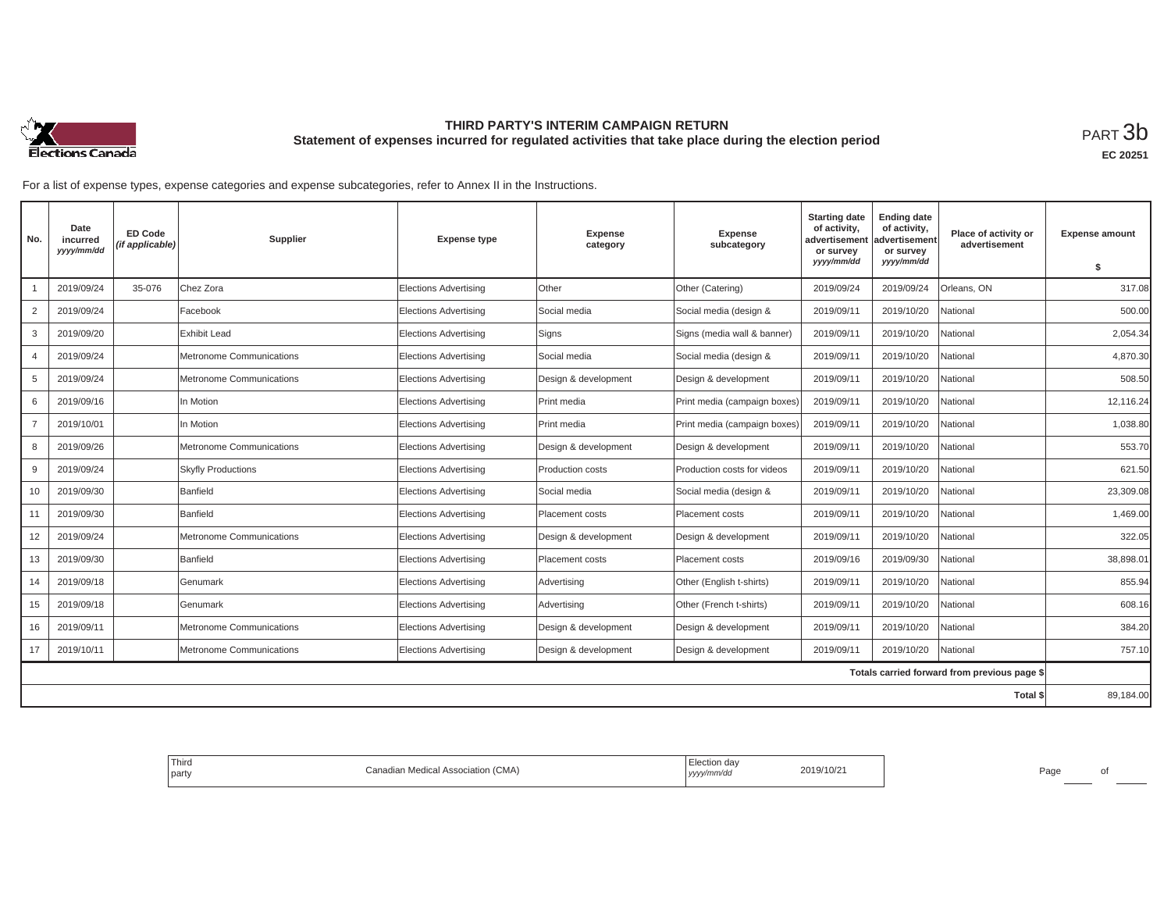

## **THIRD PARTY'S INTERIM CAMPAIGN RETURN Statement of expenses incurred for regulated activities that take place during the election period**<br>РАRТ  $3\mathrm{b}$

**EC 20251**

For a list of expense types, expense categories and expense subcategories, refer to Annex II in the Instructions.

| No.            | Date<br>incurred<br>yyyy/mm/dd | <b>ED Code</b><br>(if applicable) | Supplier                  | <b>Expense type</b>          | <b>Expense</b><br>category | <b>Expense</b><br>subcategory | <b>Starting date</b><br>of activity,<br>advertisement<br>or survey | <b>Ending date</b><br>of activity,<br>advertisement<br>or survey | Place of activity or<br>advertisement        | <b>Expense amount</b> |
|----------------|--------------------------------|-----------------------------------|---------------------------|------------------------------|----------------------------|-------------------------------|--------------------------------------------------------------------|------------------------------------------------------------------|----------------------------------------------|-----------------------|
|                |                                |                                   |                           |                              |                            |                               | yyyy/mm/dd                                                         | yyyy/mm/dd                                                       |                                              | \$                    |
|                | 2019/09/24                     | 35-076                            | Chez Zora                 | <b>Elections Advertising</b> | Other                      | Other (Catering)              | 2019/09/24                                                         | 2019/09/24                                                       | Orleans, ON                                  | 317.08                |
| 2              | 2019/09/24                     |                                   | Facebook                  | <b>Elections Advertising</b> | Social media               | Social media (design &        | 2019/09/11                                                         | 2019/10/20                                                       | National                                     | 500.00                |
| 3              | 2019/09/20                     |                                   | Exhibit Lead              | Elections Advertising        | Signs                      | Signs (media wall & banner)   | 2019/09/11                                                         | 2019/10/20                                                       | National                                     | 2,054.34              |
| $\overline{4}$ | 2019/09/24                     |                                   | Metronome Communications  | <b>Elections Advertising</b> | Social media               | Social media (design &        | 2019/09/11                                                         | 2019/10/20                                                       | National                                     | 4.870.30              |
| 5              | 2019/09/24                     |                                   | Metronome Communications  | <b>Elections Advertising</b> | Design & development       | Design & development          | 2019/09/11                                                         | 2019/10/20                                                       | National                                     | 508.50                |
| 6              | 2019/09/16                     |                                   | In Motion                 | <b>Elections Advertising</b> | Print media                | Print media (campaign boxes)  | 2019/09/11                                                         | 2019/10/20                                                       | Vational                                     | 12,116.24             |
| $\overline{7}$ | 2019/10/01                     |                                   | In Motion                 | <b>Elections Advertising</b> | Print media                | Print media (campaign boxes)  | 2019/09/11                                                         | 2019/10/20                                                       | National                                     | 1,038.80              |
| 8              | 2019/09/26                     |                                   | Metronome Communications  | <b>Elections Advertising</b> | Design & development       | Design & development          | 2019/09/11                                                         | 2019/10/20                                                       | National                                     | 553.70                |
| 9              | 2019/09/24                     |                                   | <b>Skyfly Productions</b> | <b>Elections Advertising</b> | Production costs           | Production costs for videos   | 2019/09/11                                                         | 2019/10/20                                                       | National                                     | 621.50                |
| 10             | 2019/09/30                     |                                   | Banfield                  | <b>Elections Advertising</b> | Social media               | Social media (design &        | 2019/09/11                                                         | 2019/10/20                                                       | National                                     | 23,309.08             |
| 11             | 2019/09/30                     |                                   | Banfield                  | <b>Elections Advertising</b> | Placement costs            | Placement costs               | 2019/09/11                                                         | 2019/10/20                                                       | National                                     | 1,469.00              |
| 12             | 2019/09/24                     |                                   | Metronome Communications  | <b>Elections Advertising</b> | Design & development       | Design & development          | 2019/09/11                                                         | 2019/10/20                                                       | National                                     | 322.05                |
| 13             | 2019/09/30                     |                                   | Banfield                  | <b>Elections Advertising</b> | Placement costs            | Placement costs               | 2019/09/16                                                         | 2019/09/30                                                       | Vational                                     | 38,898.01             |
| 14             | 2019/09/18                     |                                   | Genumark                  | <b>Elections Advertising</b> | Advertising                | Other (English t-shirts)      | 2019/09/11                                                         | 2019/10/20                                                       | National                                     | 855.94                |
| 15             | 2019/09/18                     |                                   | Genumark                  | <b>Elections Advertising</b> | Advertising                | Other (French t-shirts)       | 2019/09/11                                                         | 2019/10/20                                                       | National                                     | 608.16                |
| 16             | 2019/09/11                     |                                   | Metronome Communications  | <b>Elections Advertising</b> | Design & development       | Design & development          | 2019/09/11                                                         | 2019/10/20                                                       | Vational                                     | 384.20                |
| 17             | 2019/10/11                     |                                   | Metronome Communications  | <b>Elections Advertising</b> | Design & development       | Design & development          | 2019/09/11                                                         | 2019/10/20                                                       | National                                     | 757.10                |
|                |                                |                                   |                           |                              |                            |                               |                                                                    |                                                                  | Totals carried forward from previous page \$ |                       |
|                |                                |                                   |                           |                              |                            |                               |                                                                    |                                                                  | Total \$                                     | 89,184.00             |

| <sup>I</sup> Third<br>Election day<br>2019/10/21<br>(CMA)<br>Canadian Medical Association /<br>, yyyy/mm/dd<br>party |
|----------------------------------------------------------------------------------------------------------------------|
|----------------------------------------------------------------------------------------------------------------------|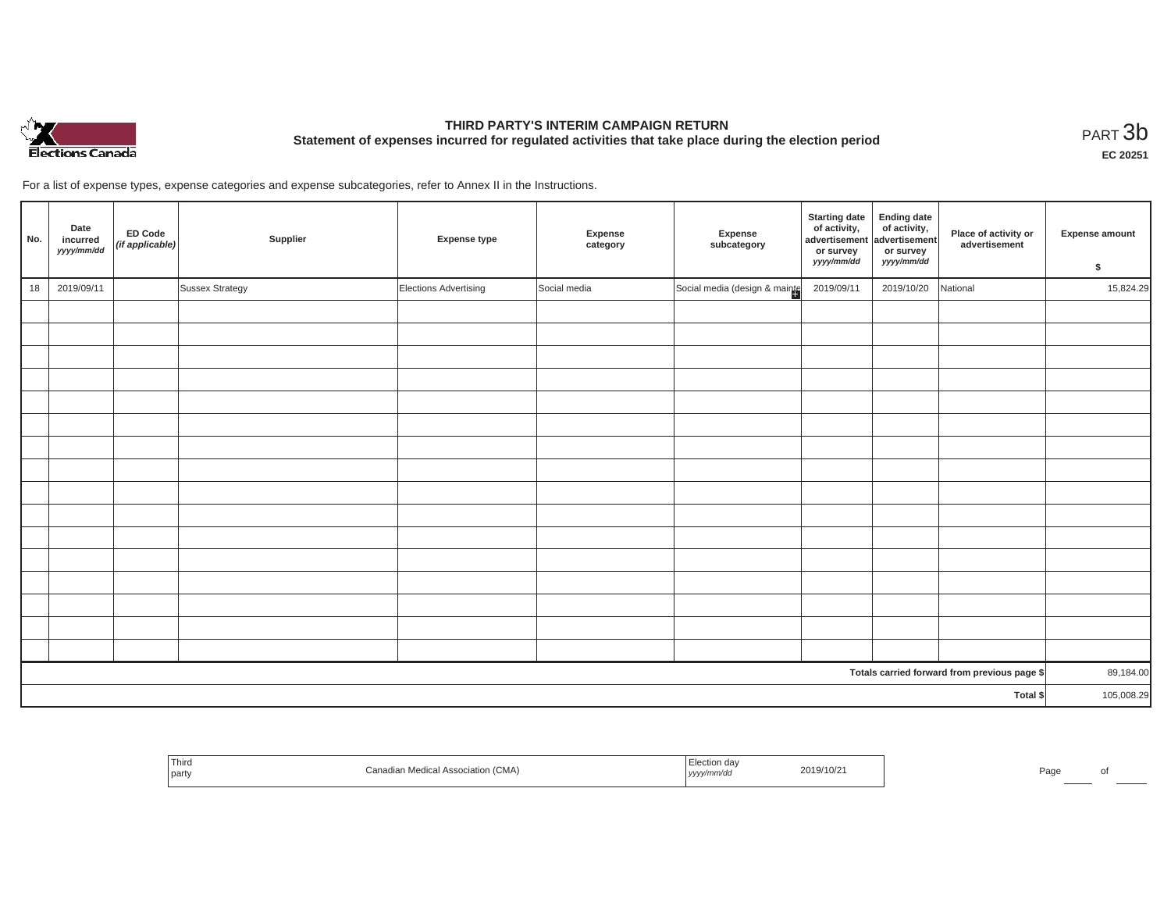

# **THIRD PARTY'S INTERIM CAMPAIGN RETURN Statement of expenses incurred for regulated activities that take place during the election period**<br>PART  $3\text{b}$

**EC 20251**

For a list of expense types, expense categories and expense subcategories, refer to Annex II in the Instructions.

| No. | Date<br>incurred<br>yyyy/mm/dd | <b>ED Code</b><br>$(if$ applicable) | Supplier        | <b>Expense type</b>   | Expense<br>category | Expense<br>subcategory        | <b>Starting date</b><br>of activity,<br>advertisement<br>or survey<br>yyyy/mm/dd | Ending date<br>of activity,<br>advertisement<br>or survey<br>yyyy/mm/dd | Place of activity or<br>advertisement        | <b>Expense amount</b><br>\$ |
|-----|--------------------------------|-------------------------------------|-----------------|-----------------------|---------------------|-------------------------------|----------------------------------------------------------------------------------|-------------------------------------------------------------------------|----------------------------------------------|-----------------------------|
| 18  | 2019/09/11                     |                                     | Sussex Strategy | Elections Advertising | Social media        | Social media (design & mainte | 2019/09/11                                                                       | 2019/10/20                                                              | National                                     | 15,824.29                   |
|     |                                |                                     |                 |                       |                     |                               |                                                                                  |                                                                         |                                              |                             |
|     |                                |                                     |                 |                       |                     |                               |                                                                                  |                                                                         |                                              |                             |
|     |                                |                                     |                 |                       |                     |                               |                                                                                  |                                                                         |                                              |                             |
|     |                                |                                     |                 |                       |                     |                               |                                                                                  |                                                                         |                                              |                             |
|     |                                |                                     |                 |                       |                     |                               |                                                                                  |                                                                         |                                              |                             |
|     |                                |                                     |                 |                       |                     |                               |                                                                                  |                                                                         |                                              |                             |
|     |                                |                                     |                 |                       |                     |                               |                                                                                  |                                                                         |                                              |                             |
|     |                                |                                     |                 |                       |                     |                               |                                                                                  |                                                                         |                                              |                             |
|     |                                |                                     |                 |                       |                     |                               |                                                                                  |                                                                         |                                              |                             |
|     |                                |                                     |                 |                       |                     |                               |                                                                                  |                                                                         |                                              |                             |
|     |                                |                                     |                 |                       |                     |                               |                                                                                  |                                                                         |                                              |                             |
|     |                                |                                     |                 |                       |                     |                               |                                                                                  |                                                                         |                                              |                             |
|     |                                |                                     |                 |                       |                     |                               |                                                                                  |                                                                         |                                              |                             |
|     |                                |                                     |                 |                       |                     |                               |                                                                                  |                                                                         |                                              |                             |
|     |                                |                                     |                 |                       |                     |                               |                                                                                  |                                                                         |                                              |                             |
|     |                                |                                     |                 |                       |                     |                               |                                                                                  |                                                                         |                                              |                             |
|     |                                |                                     |                 |                       |                     |                               |                                                                                  |                                                                         | Totals carried forward from previous page \$ | 89,184.00                   |
|     |                                |                                     |                 |                       |                     |                               |                                                                                  |                                                                         | Total \$                                     | 105,008.29                  |

| $-1$<br>Third<br>party | Medical Association (CMA) | on dav<br>, уууу/ | 2019/10/2<br>the contract of the contract of the contract of the contract of the contract of the contract of the contract of |  | □∽<br>du. |  |
|------------------------|---------------------------|-------------------|------------------------------------------------------------------------------------------------------------------------------|--|-----------|--|
|------------------------|---------------------------|-------------------|------------------------------------------------------------------------------------------------------------------------------|--|-----------|--|